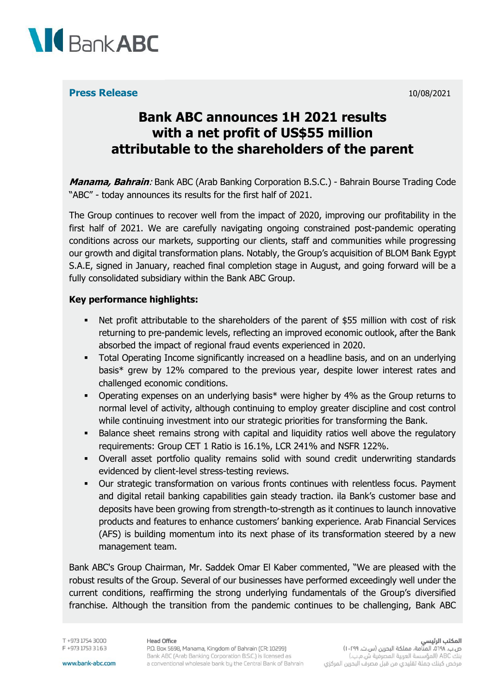

# **Bank ABC announces 1H 2021 results with a net profit of US\$55 million attributable to the shareholders of the parent**

**Manama, Bahrain**: Bank ABC (Arab Banking Corporation B.S.C.) - Bahrain Bourse Trading Code "ABC" - today announces its results for the first half of 2021.

The Group continues to recover well from the impact of 2020, improving our profitability in the first half of 2021. We are carefully navigating ongoing constrained post-pandemic operating conditions across our markets, supporting our clients, staff and communities while progressing our growth and digital transformation plans. Notably, the Group's acquisition of BLOM Bank Egypt S.A.E, signed in January, reached final completion stage in August, and going forward will be a fully consolidated subsidiary within the Bank ABC Group.

#### **Key performance highlights:**

- Net profit attributable to the shareholders of the parent of \$55 million with cost of risk returning to pre-pandemic levels, reflecting an improved economic outlook, after the Bank absorbed the impact of regional fraud events experienced in 2020.
- Total Operating Income significantly increased on a headline basis, and on an underlying basis\* grew by 12% compared to the previous year, despite lower interest rates and challenged economic conditions.
- Operating expenses on an underlying basis<sup>\*</sup> were higher by 4% as the Group returns to normal level of activity, although continuing to employ greater discipline and cost control while continuing investment into our strategic priorities for transforming the Bank.
- Balance sheet remains strong with capital and liquidity ratios well above the regulatory requirements: Group CET 1 Ratio is 16.1%, LCR 241% and NSFR 122%.
- Overall asset portfolio quality remains solid with sound credit underwriting standards evidenced by client-level stress-testing reviews.
- Our strategic transformation on various fronts continues with relentless focus. Payment and digital retail banking capabilities gain steady traction. ila Bank's customer base and deposits have been growing from strength-to-strength as it continues to launch innovative products and features to enhance customers' banking experience. Arab Financial Services (AFS) is building momentum into its next phase of its transformation steered by a new management team.

Bank ABC's Group Chairman, Mr. Saddek Omar El Kaber commented, "We are pleased with the robust results of the Group. Several of our businesses have performed exceedingly well under the current conditions, reaffirming the strong underlying fundamentals of the Group's diversified franchise. Although the transition from the pandemic continues to be challenging, Bank ABC

T +973 1754 3000 F +973 1753 3163

#### **Head Office**

**المكتب الرئيسي**<br>ص.ب. ١٦٩٨، المنامة، مملكة البحرين (س.ت. ١٠٢٩٩) بنك ABC (المؤسسة العربية المصرفية ش.م.ب.) مرخص كبنك جملة تقليدي من قبل مصرف البحرين المركزي

www.bank-abc.com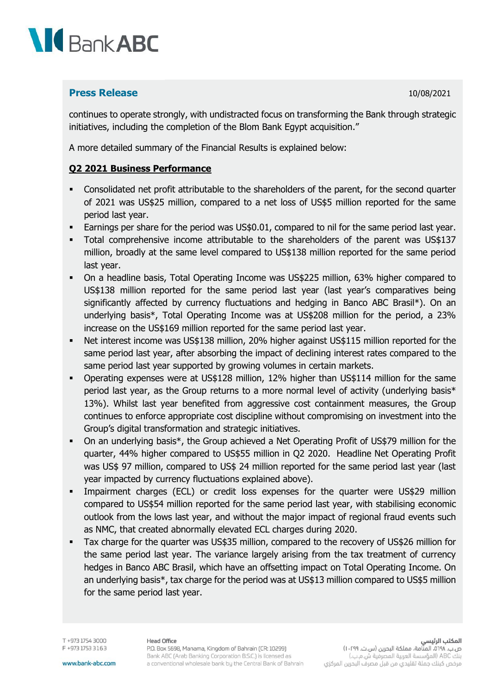

continues to operate strongly, with undistracted focus on transforming the Bank through strategic initiatives, including the completion of the Blom Bank Egypt acquisition."

A more detailed summary of the Financial Results is explained below:

## **Q2 2021 Business Performance**

- Consolidated net profit attributable to the shareholders of the parent, for the second quarter of 2021 was US\$25 million, compared to a net loss of US\$5 million reported for the same period last year.
- Earnings per share for the period was US\$0.01, compared to nil for the same period last year.
- Total comprehensive income attributable to the shareholders of the parent was US\$137 million, broadly at the same level compared to US\$138 million reported for the same period last year.
- On a headline basis, Total Operating Income was US\$225 million, 63% higher compared to US\$138 million reported for the same period last year (last year's comparatives being significantly affected by currency fluctuations and hedging in Banco ABC Brasil\*). On an underlying basis\*, Total Operating Income was at US\$208 million for the period, a 23% increase on the US\$169 million reported for the same period last year.
- Net interest income was US\$138 million, 20% higher against US\$115 million reported for the same period last year, after absorbing the impact of declining interest rates compared to the same period last year supported by growing volumes in certain markets.
- Operating expenses were at US\$128 million, 12% higher than US\$114 million for the same period last year, as the Group returns to a more normal level of activity (underlying basis\* 13%). Whilst last year benefited from aggressive cost containment measures, the Group continues to enforce appropriate cost discipline without compromising on investment into the Group's digital transformation and strategic initiatives.
- On an underlying basis\*, the Group achieved a Net Operating Profit of US\$79 million for the quarter, 44% higher compared to US\$55 million in Q2 2020. Headline Net Operating Profit was US\$ 97 million, compared to US\$ 24 million reported for the same period last year (last year impacted by currency fluctuations explained above).
- Impairment charges (ECL) or credit loss expenses for the quarter were US\$29 million compared to US\$54 million reported for the same period last year, with stabilising economic outlook from the lows last year, and without the major impact of regional fraud events such as NMC, that created abnormally elevated ECL charges during 2020.
- Tax charge for the quarter was US\$35 million, compared to the recovery of US\$26 million for the same period last year. The variance largely arising from the tax treatment of currency hedges in Banco ABC Brasil, which have an offsetting impact on Total Operating Income. On an underlying basis\*, tax charge for the period was at US\$13 million compared to US\$5 million for the same period last year.

T +973 1754 3000 F +973 1753 3163

#### **Head Office**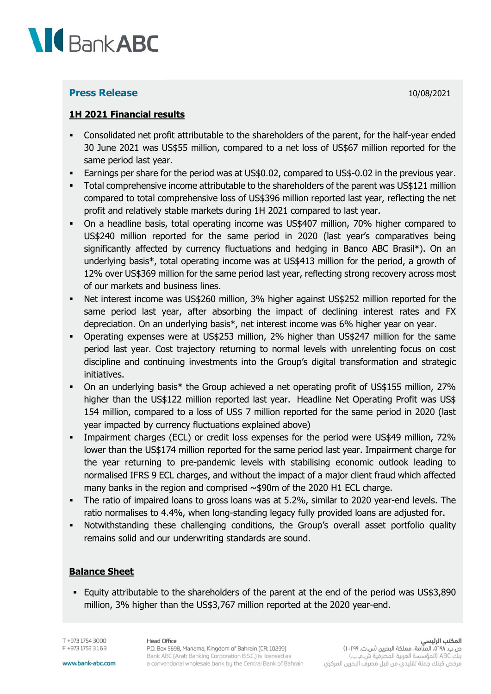

### **1H 2021 Financial results**

- Consolidated net profit attributable to the shareholders of the parent, for the half-year ended 30 June 2021 was US\$55 million, compared to a net loss of US\$67 million reported for the same period last year.
- **Earnings per share for the period was at US\$0.02, compared to US\$-0.02 in the previous year.**
- Total comprehensive income attributable to the shareholders of the parent was US\$121 million compared to total comprehensive loss of US\$396 million reported last year, reflecting the net profit and relatively stable markets during 1H 2021 compared to last year.
- On a headline basis, total operating income was US\$407 million, 70% higher compared to US\$240 million reported for the same period in 2020 (last year's comparatives being significantly affected by currency fluctuations and hedging in Banco ABC Brasil\*). On an underlying basis\*, total operating income was at US\$413 million for the period, a growth of 12% over US\$369 million for the same period last year, reflecting strong recovery across most of our markets and business lines.
- Net interest income was US\$260 million, 3% higher against US\$252 million reported for the same period last year, after absorbing the impact of declining interest rates and FX depreciation. On an underlying basis\*, net interest income was 6% higher year on year.
- Operating expenses were at US\$253 million, 2% higher than US\$247 million for the same period last year. Cost trajectory returning to normal levels with unrelenting focus on cost discipline and continuing investments into the Group's digital transformation and strategic initiatives.
- On an underlying basis\* the Group achieved a net operating profit of US\$155 million, 27% higher than the US\$122 million reported last year. Headline Net Operating Profit was US\$ 154 million, compared to a loss of US\$ 7 million reported for the same period in 2020 (last year impacted by currency fluctuations explained above)
- **•** Impairment charges (ECL) or credit loss expenses for the period were US\$49 million, 72% lower than the US\$174 million reported for the same period last year. Impairment charge for the year returning to pre-pandemic levels with stabilising economic outlook leading to normalised IFRS 9 ECL charges, and without the impact of a major client fraud which affected many banks in the region and comprised  $\sim$ \$90m of the 2020 H1 ECL charge.
- **•** The ratio of impaired loans to gross loans was at 5.2%, similar to 2020 year-end levels. The ratio normalises to 4.4%, when long-standing legacy fully provided loans are adjusted for.
- Notwithstanding these challenging conditions, the Group's overall asset portfolio quality remains solid and our underwriting standards are sound.

#### **Balance Sheet**

▪ Equity attributable to the shareholders of the parent at the end of the period was US\$3,890 million, 3% higher than the US\$3,767 million reported at the 2020 year-end.

T +973 1754 3000 F +973 1753 3163

#### **Head Office**

#### المكتب الرئيسي

ص.ب. ١٠٢٩٨، المنامة، مملكة البحرين (س.ت. ١٠٢٩٩) بنك ABC (المؤسسة العربية المصرفية ش.م.ب.) مرخص كبنك جملة تقليدي من قبل مصرف البحرين المركزي

www.bank-abc.com